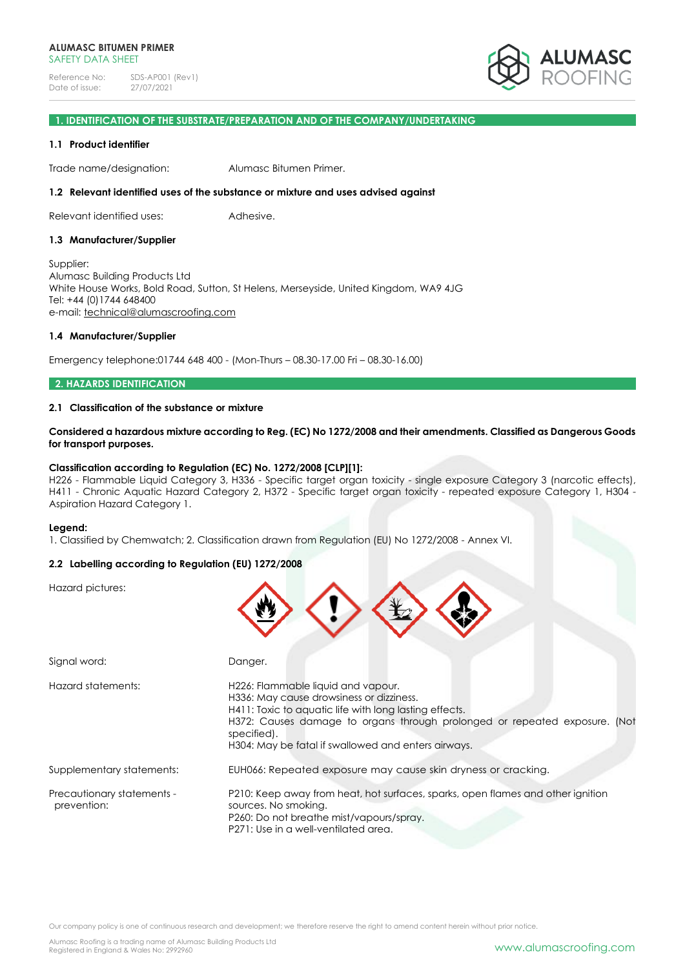

### **1. IDENTIFICATION OF THE SUBSTRATE/PREPARATION AND OF THE COMPANY/UNDERTAKING**

### **1.1 Product identifier**

Trade name/designation: Alumasc Bitumen Primer.

#### **1.2 Relevant identified uses of the substance or mixture and uses advised against**

Relevant identified uses: Adhesive.

#### **1.3 Manufacturer/Supplier**

Supplier: Alumasc Building Products Ltd White House Works, Bold Road, Sutton, St Helens, Merseyside, United Kingdom, WA9 4JG Tel: +44 (0)1744 648400 e-mail: [technical@alumascroofing.com](mailto:technical@alumascroofing.com)

#### **1.4 Manufacturer/Supplier**

Emergency telephone:01744 648 400 - (Mon-Thurs – 08.30-17.00 Fri – 08.30-16.00)

### **2. HAZARDS IDENTIFICATION**

## **2.1 Classification of the substance or mixture**

**Considered a hazardous mixture according to Reg. (EC) No 1272/2008 and their amendments. Classified as Dangerous Goods for transport purposes.**

#### **Classification according to Regulation (EC) No. 1272/2008 [CLP][1]:**

H226 - Flammable Liquid Category 3, H336 - Specific target organ toxicity - single exposure Category 3 (narcotic effects), H411 - Chronic Aquatic Hazard Category 2, H372 - Specific target organ toxicity - repeated exposure Category 1, H304 - Aspiration Hazard Category 1.

 $\frac{1}{2}$ 

#### **Legend:**

1. Classified by Chemwatch; 2. Classification drawn from Regulation (EU) No 1272/2008 - Annex VI.

### **2.2 Labelling according to Regulation (EU) 1272/2008**

Hazard pictures:

| Signal word:                              | Danger.                                                                                                                                                                                                                                                                                      |
|-------------------------------------------|----------------------------------------------------------------------------------------------------------------------------------------------------------------------------------------------------------------------------------------------------------------------------------------------|
| Hazard statements:                        | H226: Flammable liquid and vapour.<br>H336: May cause drowsiness or dizziness.<br>H411: Toxic to aquatic life with long lasting effects.<br>H372: Causes damage to organs through prolonged or repeated exposure. (Not<br>specified).<br>H304: May be fatal if swallowed and enters airways. |
| Supplementary statements:                 | EUH066: Repeated exposure may cause skin dryness or cracking.                                                                                                                                                                                                                                |
| Precautionary statements -<br>prevention: | P210: Keep away from heat, hot surfaces, sparks, open flames and other ignition<br>sources. No smoking.<br>P260: Do not breathe mist/vapours/spray.<br>P271: Use in a well-ventilated area.                                                                                                  |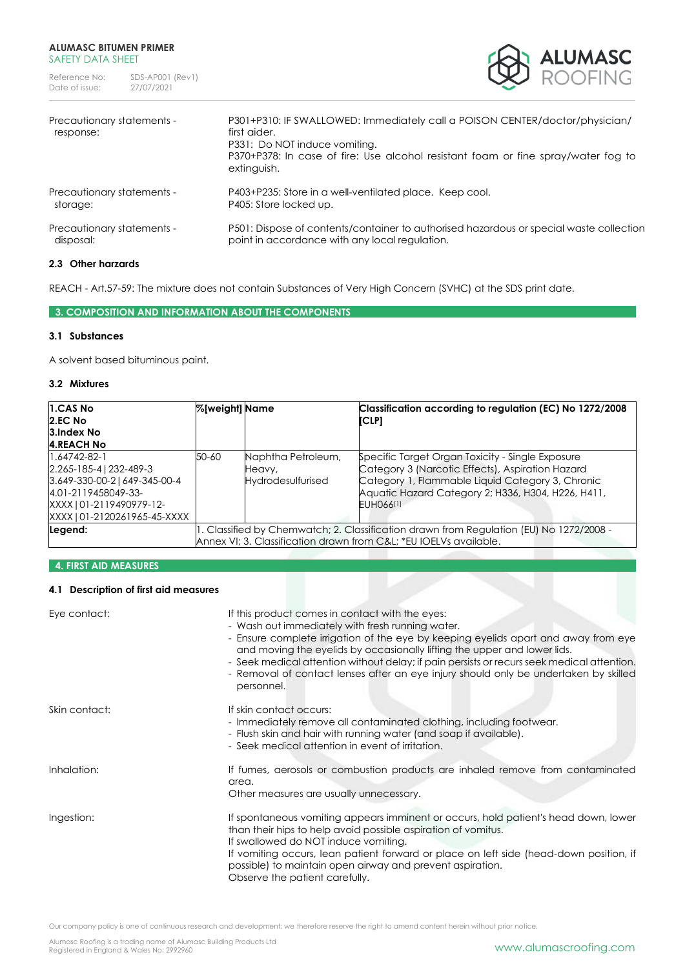

| Precautionary statements -<br>response: | P301+P310: IF SWALLOWED: Immediately call a POISON CENTER/doctor/physician/<br>first aider.<br>P331: Do NOT induce vomiting.<br>P370+P378: In case of fire: Use alcohol resistant foam or fine spray/water fog to<br>extinguish. |
|-----------------------------------------|----------------------------------------------------------------------------------------------------------------------------------------------------------------------------------------------------------------------------------|
| Precautionary statements -              | P403+P235: Store in a well-ventilated place. Keep cool.                                                                                                                                                                          |
| storage:                                | P405: Store locked up.                                                                                                                                                                                                           |
| Precautionary statements -              | P501: Dispose of contents/container to authorised hazardous or special waste collection                                                                                                                                          |
| disposal:                               | point in accordance with any local regulation.                                                                                                                                                                                   |

# **2.3 Other harzards**

REACH - Art.57-59: The mixture does not contain Substances of Very High Concern (SVHC) at the SDS print date.

# **3. COMPOSITION AND INFORMATION ABOUT THE COMPONENTS**

# **3.1 Substances**

A solvent based bituminous paint.

## **3.2 Mixtures**

| 1.CAS No<br>2.EC No<br>3.Index No<br><b>4.REACH No</b>                                                                                                            | <b>%[weight]</b> Name                                                                                                                                       |                                                          | Classification according to regulation (EC) No 1272/2008<br>[CLP]                                                                                                                                                           |
|-------------------------------------------------------------------------------------------------------------------------------------------------------------------|-------------------------------------------------------------------------------------------------------------------------------------------------------------|----------------------------------------------------------|-----------------------------------------------------------------------------------------------------------------------------------------------------------------------------------------------------------------------------|
| $1.64742 - 82 - 1$<br>2.265-185-4   232-489-3<br>3.649-330-00-2   649-345-00-4<br>4.01-2119458049-33-<br>XXXX   01-2119490979-12-<br>XXXX   01-2120261965-45-XXXX | 50-60                                                                                                                                                       | Naphtha Petroleum,<br>Heavy,<br><b>Hydrodesulfurised</b> | Specific Target Organ Toxicity - Single Exposure<br>Category 3 (Narcotic Effects), Aspiration Hazard<br>Category 1, Flammable Liquid Category 3, Chronic<br>Aquatic Hazard Category 2; H336, H304, H226, H411,<br>EUH066[1] |
| Legend:                                                                                                                                                           | 1. Classified by Chemwatch; 2. Classification drawn from Regulation (EU) No 1272/2008 -<br>Annex VI; 3. Classification drawn from C&L *EU IOELVs available. |                                                          |                                                                                                                                                                                                                             |

# **4. FIRST AID MEASURES**

### **4.1 Description of first aid measures**

| Eye contact:  | If this product comes in contact with the eyes:<br>- Wash out immediately with fresh running water.<br>- Ensure complete irrigation of the eye by keeping eyelids apart and away from eye<br>and moving the eyelids by occasionally lifting the upper and lower lids.<br>- Seek medical attention without delay; if pain persists or recurs seek medical attention.<br>- Removal of contact lenses after an eye injury should only be undertaken by skilled<br>personnel. |
|---------------|---------------------------------------------------------------------------------------------------------------------------------------------------------------------------------------------------------------------------------------------------------------------------------------------------------------------------------------------------------------------------------------------------------------------------------------------------------------------------|
| Skin contact: | If skin contact occurs:<br>- Immediately remove all contaminated clothing, including footwear.<br>- Flush skin and hair with running water (and soap if available).<br>- Seek medical attention in event of irritation.                                                                                                                                                                                                                                                   |
| Inhalation:   | If fumes, aerosols or combustion products are inhaled remove from contaminated<br>area.<br>Other measures are usually unnecessary.                                                                                                                                                                                                                                                                                                                                        |
| Ingestion:    | If spontaneous vomiting appears imminent or occurs, hold patient's head down, lower<br>than their hips to help avoid possible aspiration of vomitus.<br>If swallowed do NOT induce vomiting.<br>If vomiting occurs, lean patient forward or place on left side (head-down position, if<br>possible) to maintain open airway and prevent aspiration.<br>Observe the patient carefully.                                                                                     |

Our company policy is one of continuous research and development; we therefore reserve the right to amend content herein without prior notice.

Alumasc Roofing is a trading name of Alumasc Building Products Ltd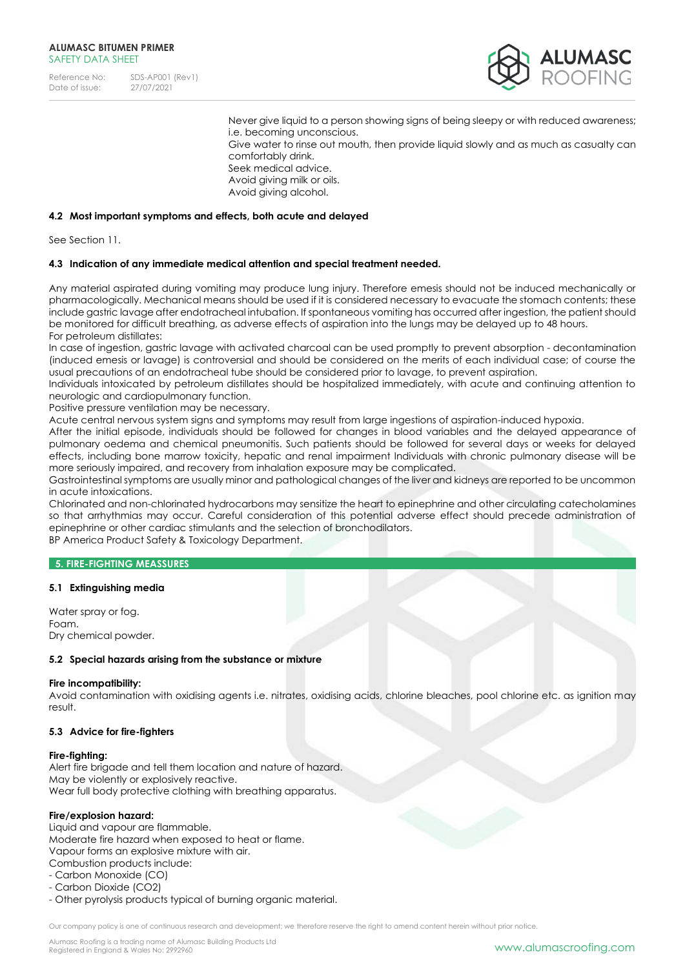

Never give liquid to a person showing signs of being sleepy or with reduced awareness; i.e. becoming unconscious. Give water to rinse out mouth, then provide liquid slowly and as much as casualty can comfortably drink. Seek medical advice. Avoid giving milk or oils. Avoid giving alcohol.

### **4.2 Most important symptoms and effects, both acute and delayed**

See Section 11.

### **4.3 Indication of any immediate medical attention and special treatment needed.**

Any material aspirated during vomiting may produce lung injury. Therefore emesis should not be induced mechanically or pharmacologically. Mechanical means should be used if it is considered necessary to evacuate the stomach contents; these include gastric lavage after endotracheal intubation. If spontaneous vomiting has occurred after ingestion, the patient should be monitored for difficult breathing, as adverse effects of aspiration into the lungs may be delayed up to 48 hours. For petroleum distillates:

In case of ingestion, gastric lavage with activated charcoal can be used promptly to prevent absorption - decontamination (induced emesis or lavage) is controversial and should be considered on the merits of each individual case; of course the usual precautions of an endotracheal tube should be considered prior to lavage, to prevent aspiration.

Individuals intoxicated by petroleum distillates should be hospitalized immediately, with acute and continuing attention to neurologic and cardiopulmonary function.

Positive pressure ventilation may be necessary.

Acute central nervous system signs and symptoms may result from large ingestions of aspiration-induced hypoxia.

After the initial episode, individuals should be followed for changes in blood variables and the delayed appearance of pulmonary oedema and chemical pneumonitis. Such patients should be followed for several days or weeks for delayed effects, including bone marrow toxicity, hepatic and renal impairment Individuals with chronic pulmonary disease will be more seriously impaired, and recovery from inhalation exposure may be complicated.

Gastrointestinal symptoms are usually minor and pathological changes of the liver and kidneys are reported to be uncommon in acute intoxications.

Chlorinated and non-chlorinated hydrocarbons may sensitize the heart to epinephrine and other circulating catecholamines so that arrhythmias may occur. Careful consideration of this potential adverse effect should precede administration of epinephrine or other cardiac stimulants and the selection of bronchodilators.

BP America Product Safety & Toxicology Department.

## **5. FIRE-FIGHTING MEASSURES**

### **5.1 Extinguishing media**

Water spray or fog. Foam. Dry chemical powder.

### **5.2 Special hazards arising from the substance or mixture**

#### **Fire incompatibility:**

Avoid contamination with oxidising agents i.e. nitrates, oxidising acids, chlorine bleaches, pool chlorine etc. as ignition may result.

### **5.3 Advice for fire-fighters**

#### **Fire-fighting:**

Alert fire brigade and tell them location and nature of hazard. May be violently or explosively reactive. Wear full body protective clothing with breathing apparatus.

### **Fire/explosion hazard:**

Liquid and vapour are flammable. Moderate fire hazard when exposed to heat or flame. Vapour forms an explosive mixture with air. Combustion products include:

- Carbon Monoxide (CO)
- Carbon Dioxide (CO2)
- Other pyrolysis products typical of burning organic material.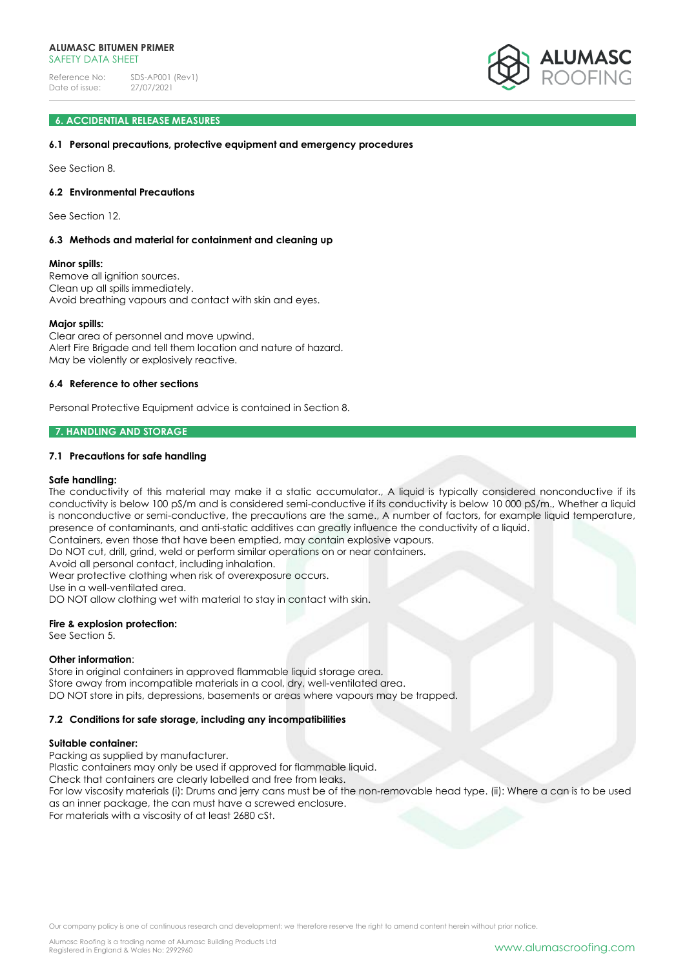

### **6. ACCIDENTIAL RELEASE MEASURES**

### **6.1 Personal precautions, protective equipment and emergency procedures**

See Section 8.

### **6.2 Environmental Precautions**

See Section 12.

### **6.3 Methods and material for containment and cleaning up**

#### **Minor spills:**

Remove all ignition sources. Clean up all spills immediately. Avoid breathing vapours and contact with skin and eyes.

### **Major spills:**

Clear area of personnel and move upwind. Alert Fire Brigade and tell them location and nature of hazard. May be violently or explosively reactive.

### **6.4 Reference to other sections**

Personal Protective Equipment advice is contained in Section 8.

#### **7. HANDLING AND STORAGE**

### **7.1 Precautions for safe handling**

#### **Safe handling:**

The conductivity of this material may make it a static accumulator., A liquid is typically considered nonconductive if its conductivity is below 100 pS/m and is considered semi-conductive if its conductivity is below 10 000 pS/m., Whether a liquid is nonconductive or semi-conductive, the precautions are the same., A number of factors, for example liquid temperature, presence of contaminants, and anti-static additives can greatly influence the conductivity of a liquid.

Containers, even those that have been emptied, may contain explosive vapours.

Do NOT cut, drill, grind, weld or perform similar operations on or near containers.

Avoid all personal contact, including inhalation. Wear protective clothing when risk of overexposure occurs.

Use in a well-ventilated area.

DO NOT allow clothing wet with material to stay in contact with skin.

### **Fire & explosion protection:**

See Section 5.

### **Other information**:

Store in original containers in approved flammable liquid storage area. Store away from incompatible materials in a cool, dry, well-ventilated area. DO NOT store in pits, depressions, basements or areas where vapours may be trapped.

### **7.2 Conditions for safe storage, including any incompatibilities**

### **Suitable container:**

Packing as supplied by manufacturer.

Plastic containers may only be used if approved for flammable liquid.

Check that containers are clearly labelled and free from leaks.

For low viscosity materials (i): Drums and jerry cans must be of the non-removable head type. (ii): Where a can is to be used as an inner package, the can must have a screwed enclosure.

For materials with a viscosity of at least 2680 cSt.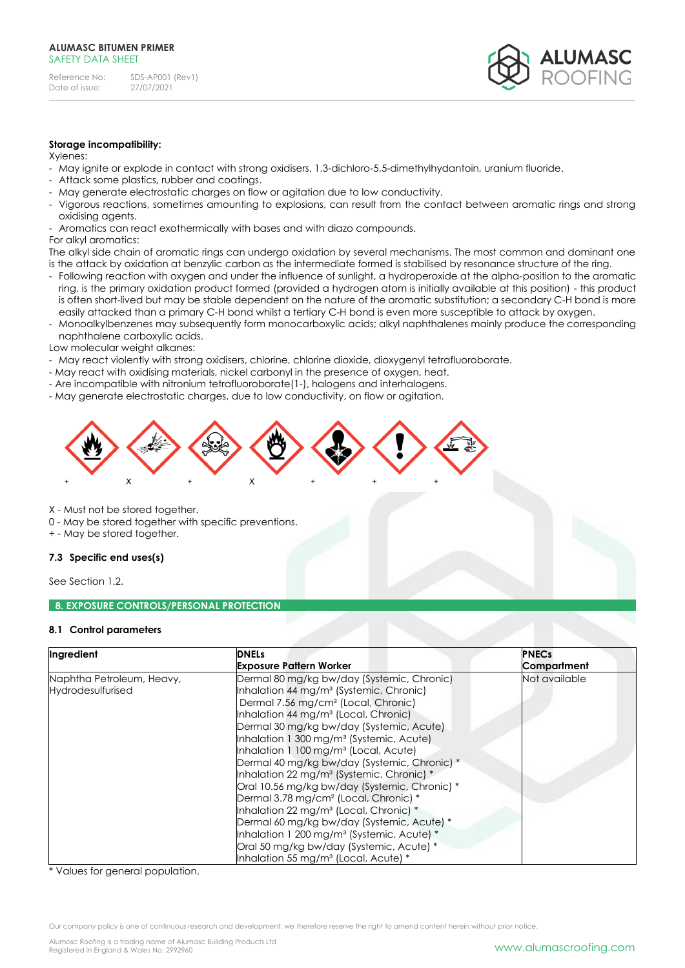

### **Storage incompatibility:**

Xylenes:

- May ignite or explode in contact with strong oxidisers, 1,3-dichloro-5,5-dimethylhydantoin, uranium fluoride.
- Attack some plastics, rubber and coatings.
- May generate electrostatic charges on flow or agitation due to low conductivity.
- Vigorous reactions, sometimes amounting to explosions, can result from the contact between aromatic rings and strong oxidising agents.
- Aromatics can react exothermically with bases and with diazo compounds.
- For alkyl aromatics:

The alkyl side chain of aromatic rings can undergo oxidation by several mechanisms. The most common and dominant one is the attack by oxidation at benzylic carbon as the intermediate formed is stabilised by resonance structure of the ring.

- Following reaction with oxygen and under the influence of sunlight, a hydroperoxide at the alpha-position to the aromatic ring, is the primary oxidation product formed (provided a hydrogen atom is initially available at this position) - this product is often short-lived but may be stable dependent on the nature of the aromatic substitution; a secondary C-H bond is more easily attacked than a primary C-H bond whilst a tertiary C-H bond is even more susceptible to attack by oxygen.
- Monoalkylbenzenes may subsequently form monocarboxylic acids; alkyl naphthalenes mainly produce the corresponding naphthalene carboxylic acids.

Low molecular weight alkanes:

- May react violently with strong oxidisers, chlorine, chlorine dioxide, dioxygenyl tetrafluoroborate.
- May react with oxidising materials, nickel carbonyl in the presence of oxygen, heat.
- Are incompatible with nitronium tetrafluoroborate(1-), halogens and interhalogens.
- May generate electrostatic charges, due to low conductivity, on flow or agitation.



X - Must not be stored together.

- 0 May be stored together with specific preventions.
- + May be stored together.

### **7.3 Specific end uses(s)**

See Section 1.2.

### **8. EXPOSURE CONTROLS/PERSONAL PROTECTION**

### **8.1 Control parameters**

| Ingredient                | <b>DNELs</b>                                            | <b>PNECs</b>  |
|---------------------------|---------------------------------------------------------|---------------|
|                           | <b>Exposure Pattern Worker</b>                          | Compartment   |
| Naphtha Petroleum, Heavy, | Dermal 80 mg/kg bw/day (Systemic, Chronic)              | Not available |
| Hydrodesulfurised         | Inhalation 44 mg/m <sup>3</sup> (Systemic, Chronic)     |               |
|                           | Dermal 7.56 mg/cm <sup>2</sup> (Local, Chronic)         |               |
|                           | Inhalation 44 mg/m <sup>3</sup> (Local, Chronic)        |               |
|                           | Dermal 30 mg/kg bw/day (Systemic, Acute)                |               |
|                           | Inhalation 1 300 mg/m <sup>3</sup> (Systemic, Acute)    |               |
|                           | Inhalation 1 100 mg/m <sup>3</sup> (Local, Acute)       |               |
|                           | Dermal 40 mg/kg bw/day (Systemic, Chronic) *            |               |
|                           | Inhalation 22 mg/m <sup>3</sup> (Systemic, Chronic) $*$ |               |
|                           | Oral 10.56 mg/kg bw/day (Systemic, Chronic) *           |               |
|                           | Dermal 3.78 mg/cm <sup>2</sup> (Local, Chronic) *       |               |
|                           | Inhalation 22 mg/m <sup>3</sup> (Local, Chronic) *      |               |
|                           | Dermal 60 mg/kg bw/day (Systemic, Acute) *              |               |
|                           | Inhalation 1 200 mg/m <sup>3</sup> (Systemic, Acute) *  |               |
|                           | Oral 50 mg/kg bw/day (Systemic, Acute) *                |               |
|                           | Inhalation 55 mg/m <sup>3</sup> (Local, Acute) *        |               |

\* Values for general population.

Our company policy is one of continuous research and development; we therefore reserve the right to amend content herein without prior notice.

Alumasc Roofing is a trading name of Alumasc Building Products Ltd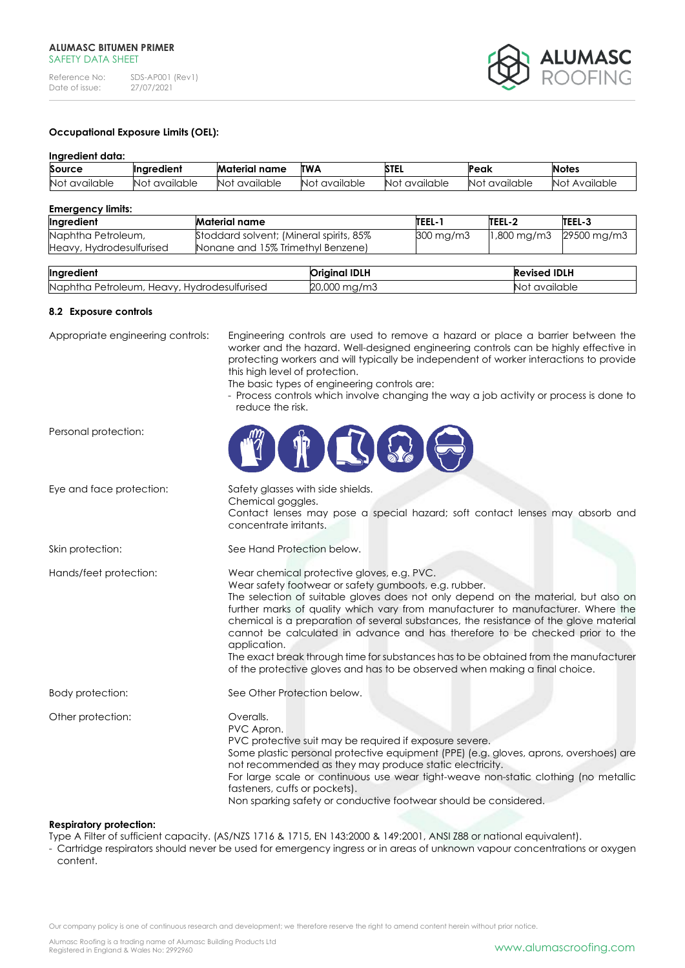

# **Occupational Exposure Limits (OEL):**

### **Ingredient data:**

| Source                   | Inaredient        | Material name    | <b>ITWA</b>                  | STEL             | Peak             | <b>Notes</b>     |
|--------------------------|-------------------|------------------|------------------------------|------------------|------------------|------------------|
| <b>Not</b><br>available: | available<br>Not. | Not<br>available | $\cdots$<br>Not<br>available | Not<br>available | Not<br>available | Available<br>Not |

### **Emergency limits:**

| Ingredient               | Material name                           | TEEL-1             | TEEL-2                   | TEEL-3      |
|--------------------------|-----------------------------------------|--------------------|--------------------------|-------------|
| Naphtha Petroleum,       | Stoddard solvent; (Mineral spirits, 85% | $300 \text{ mg/m}$ | $1,800 \,\mathrm{mg/m3}$ | 29500 mg/m3 |
| Heavy, Hydrodesulfurised | Nonane and 15% Trimethyl Benzene)       |                    |                          |             |
|                          |                                         |                    |                          |             |

| Ingredient                                          | <b>IDLH</b>                  | <b>Revised IDLH</b> |
|-----------------------------------------------------|------------------------------|---------------------|
| Naphtha Petroleum,<br>Hydrodesulfurised<br>Heavy, h | $\sim$<br>ZU,UUU<br>TIU/ITIJ | available :<br>NO   |

#### **8.2 Exposure controls**

Appropriate engineering controls: Engineering controls are used to remove a hazard or place a barrier between the worker and the hazard. Well-designed engineering controls can be highly effective in protecting workers and will typically be independent of worker interactions to provide this high level of protection.

The basic types of engineering controls are:

- Process controls which involve changing the way a job activity or process is done to reduce the risk.

| H<br>$\blacksquare$                                                                                                                                                                                                                                                                                                                                                                                                                                                                                                                                                                                                                           |
|-----------------------------------------------------------------------------------------------------------------------------------------------------------------------------------------------------------------------------------------------------------------------------------------------------------------------------------------------------------------------------------------------------------------------------------------------------------------------------------------------------------------------------------------------------------------------------------------------------------------------------------------------|
| Safety glasses with side shields.<br>Chemical goggles.<br>Contact lenses may pose a special hazard; soft contact lenses may absorb and<br>concentrate irritants.                                                                                                                                                                                                                                                                                                                                                                                                                                                                              |
| See Hand Protection below.                                                                                                                                                                                                                                                                                                                                                                                                                                                                                                                                                                                                                    |
| Wear chemical protective gloves, e.g. PVC.<br>Wear safety footwear or safety gumboots, e.g. rubber.<br>The selection of suitable gloves does not only depend on the material, but also on<br>further marks of quality which vary from manufacturer to manufacturer. Where the<br>chemical is a preparation of several substances, the resistance of the glove material<br>cannot be calculated in advance and has therefore to be checked prior to the<br>application.<br>The exact break through time for substances has to be obtained from the manufacturer<br>of the protective gloves and has to be observed when making a final choice. |
| See Other Protection below.                                                                                                                                                                                                                                                                                                                                                                                                                                                                                                                                                                                                                   |
| Overalls.<br>PVC Apron.<br>PVC protective suit may be required if exposure severe.<br>Some plastic personal protective equipment (PPE) (e.g. gloves, aprons, overshoes) are<br>not recommended as they may produce static electricity.<br>For large scale or continuous use wear tight-weave non-static clothing (no metallic<br>fasteners, cuffs or pockets).<br>Non sparking safety or conductive footwear should be considered.                                                                                                                                                                                                            |
|                                                                                                                                                                                                                                                                                                                                                                                                                                                                                                                                                                                                                                               |

### **Respiratory protection:**

Type A Filter of sufficient capacity. (AS/NZS 1716 & 1715, EN 143:2000 & 149:2001, ANSI Z88 or national equivalent).

- Cartridge respirators should never be used for emergency ingress or in areas of unknown vapour concentrations or oxygen content.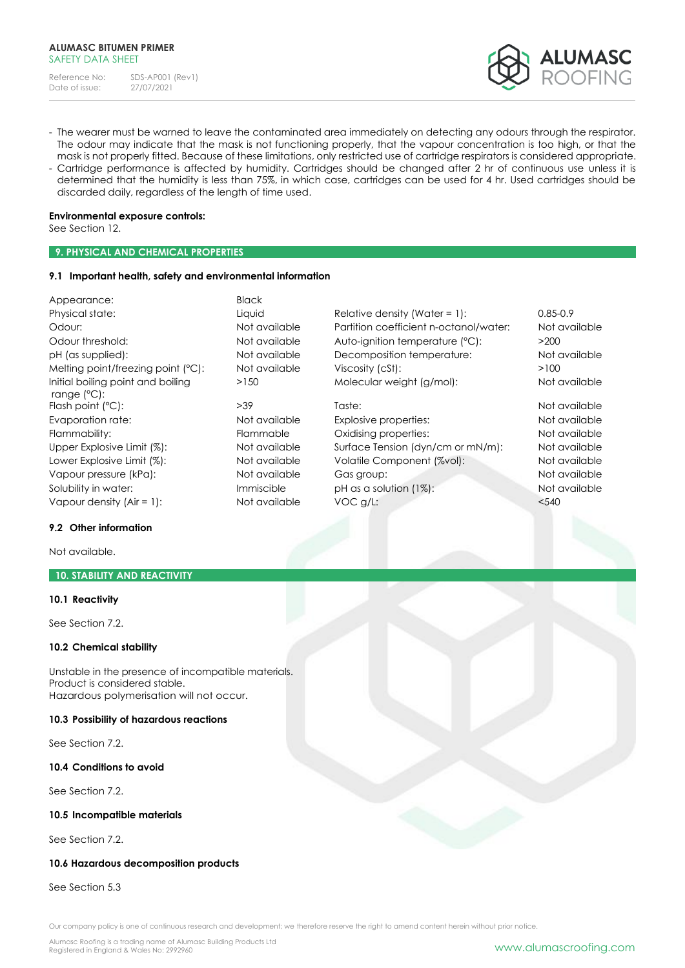

- The wearer must be warned to leave the contaminated area immediately on detecting any odours through the respirator. The odour may indicate that the mask is not functioning properly, that the vapour concentration is too high, or that the mask is not properly fitted. Because of these limitations, only restricted use of cartridge respirators is considered appropriate.
- Cartridge performance is affected by humidity. Cartridges should be changed after 2 hr of continuous use unless it is determined that the humidity is less than 75%, in which case, cartridges can be used for 4 hr. Used cartridges should be discarded daily, regardless of the length of time used.

### **Environmental exposure controls:**

See Section 12.

# **9. PHYSICAL AND CHEMICAL PROPERTIES**

### **9.1 Important health, safety and environmental information**

| Appearance:                                                | <b>Black</b>  |                                        |               |
|------------------------------------------------------------|---------------|----------------------------------------|---------------|
| Physical state:                                            | Liquid        | Relative density (Water = $1$ ):       | $0.85 - 0.9$  |
| Odour:                                                     | Not available | Partition coefficient n-octanol/water: | Not available |
| Odour threshold:                                           | Not available | Auto-ignition temperature (°C):        | >200          |
| pH (as supplied):                                          | Not available | Decomposition temperature:             | Not available |
| Melting point/freezing point (°C):                         | Not available | Viscosity (cSt):                       | >100          |
| Initial boiling point and boiling<br>range $(^{\circ}C)$ : | >150          | Molecular weight (g/mol):              | Not available |
| Flash point (°C):                                          | >39           | Taste:                                 | Not available |
| Evaporation rate:                                          | Not available | Explosive properties:                  | Not available |
| Flammability:                                              | Flammable     | Oxidising properties:                  | Not available |
| Upper Explosive Limit (%):                                 | Not available | Surface Tension (dyn/cm or mN/m):      | Not available |
| Lower Explosive Limit (%):                                 | Not available | Volatile Component (%vol):             | Not available |
| Vapour pressure (kPa):                                     | Not available | Gas group:                             | Not available |
| Solubility in water:                                       | Immiscible    | pH as a solution $(1%)$ :              | Not available |
| Vapour density $(Air = 1)$ :                               | Not available | VOC g/L:                               | < 540         |

# **9.2 Other information**

Not available.

# **10. STABILITY AND REACTIVITY**

### **10.1 Reactivity**

See Section 7.2.

### **10.2 Chemical stability**

Unstable in the presence of incompatible materials. Product is considered stable. Hazardous polymerisation will not occur.

### **10.3 Possibility of hazardous reactions**

See Section 7.2.

# **10.4 Conditions to avoid**

See Section 7.2.

### **10.5 Incompatible materials**

See Section 7.2.

# **10.6 Hazardous decomposition products**

See Section 5.3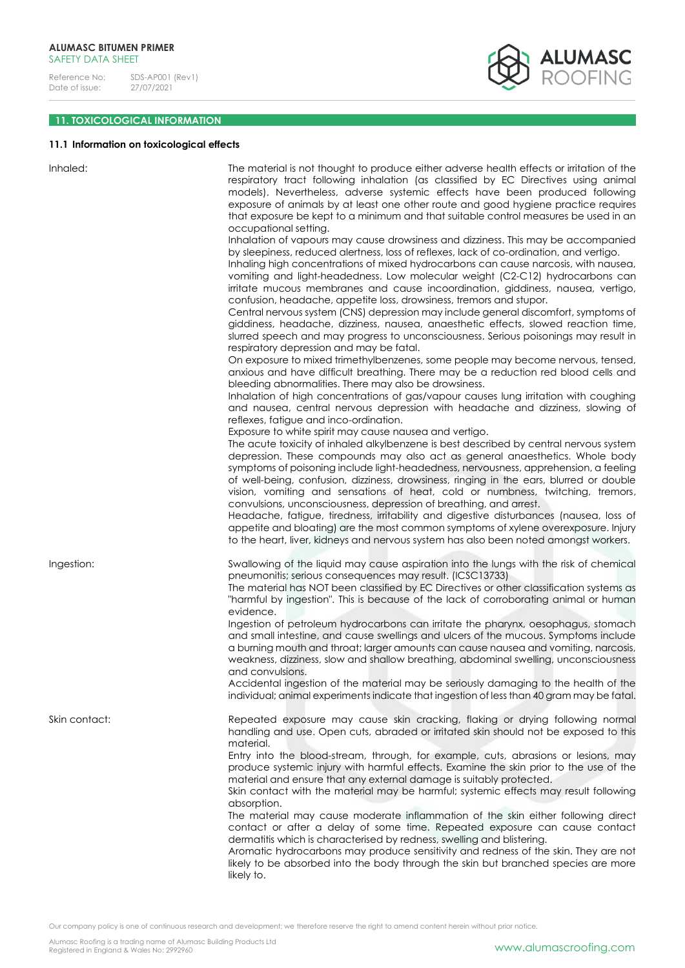

# **11. TOXICOLOGICAL INFORMATION**

# **11.1 Information on toxicological effects**

| Inhaled:      | The material is not thought to produce either adverse health effects or irritation of the<br>respiratory tract following inhalation (as classified by EC Directives using animal<br>models). Nevertheless, adverse systemic effects have been produced following<br>exposure of animals by at least one other route and good hygiene practice requires<br>that exposure be kept to a minimum and that suitable control measures be used in an<br>occupational setting.                                                                                                                                                                                                                                                                                                                    |
|---------------|-------------------------------------------------------------------------------------------------------------------------------------------------------------------------------------------------------------------------------------------------------------------------------------------------------------------------------------------------------------------------------------------------------------------------------------------------------------------------------------------------------------------------------------------------------------------------------------------------------------------------------------------------------------------------------------------------------------------------------------------------------------------------------------------|
|               | Inhalation of vapours may cause drowsiness and dizziness. This may be accompanied<br>by sleepiness, reduced alertness, loss of reflexes, lack of co-ordination, and vertigo.<br>Inhaling high concentrations of mixed hydrocarbons can cause narcosis, with nausea,<br>vomiting and light-headedness. Low molecular weight (C2-C12) hydrocarbons can<br>irritate mucous membranes and cause incoordination, giddiness, nausea, vertigo,<br>confusion, headache, appetite loss, drowsiness, tremors and stupor.<br>Central nervous system (CNS) depression may include general discomfort, symptoms of<br>giddiness, headache, dizziness, nausea, anaesthetic effects, slowed reaction time,<br>slurred speech and may progress to unconsciousness. Serious poisonings may result in       |
|               | respiratory depression and may be fatal.<br>On exposure to mixed trimethylbenzenes, some people may become nervous, tensed,<br>anxious and have difficult breathing. There may be a reduction red blood cells and<br>bleeding abnormalities. There may also be drowsiness.                                                                                                                                                                                                                                                                                                                                                                                                                                                                                                                |
|               | Inhalation of high concentrations of gas/vapour causes lung irritation with coughing<br>and nausea, central nervous depression with headache and dizziness, slowing of<br>reflexes, fatigue and inco-ordination.<br>Exposure to white spirit may cause nausea and vertigo.                                                                                                                                                                                                                                                                                                                                                                                                                                                                                                                |
|               | The acute toxicity of inhaled alkylbenzene is best described by central nervous system<br>depression. These compounds may also act as general anaesthetics. Whole body<br>symptoms of poisoning include light-headedness, nervousness, apprehension, a feeling<br>of well-being, confusion, dizziness, drowsiness, ringing in the ears, blurred or double<br>vision, vomiting and sensations of heat, cold or numbness, twitching, tremors,<br>convulsions, unconsciousness, depression of breathing, and arrest.<br>Headache, fatigue, tiredness, irritability and digestive disturbances (nausea, loss of<br>appetite and bloating) are the most common symptoms of xylene overexposure. Injury<br>to the heart, liver, kidneys and nervous system has also been noted amongst workers. |
| Ingestion:    | Swallowing of the liquid may cause aspiration into the lungs with the risk of chemical<br>pneumonitis; serious consequences may result. (ICSC13733)<br>The material has NOT been classified by EC Directives or other classification systems as<br>"harmful by ingestion". This is because of the lack of corroborating animal or human<br>evidence.                                                                                                                                                                                                                                                                                                                                                                                                                                      |
|               | Ingestion of petroleum hydrocarbons can irritate the pharynx, oesophagus, stomach<br>and small intestine, and cause swellings and ulcers of the mucous. Symptoms include<br>a burning mouth and throat; larger amounts can cause nausea and vomiting, narcosis,<br>weakness, dizziness, slow and shallow breathing, abdominal swelling, unconsciousness<br>and convulsions.                                                                                                                                                                                                                                                                                                                                                                                                               |
|               | Accidental ingestion of the material may be seriously damaging to the health of the<br>individual; animal experiments indicate that ingestion of less than 40 gram may be fatal.                                                                                                                                                                                                                                                                                                                                                                                                                                                                                                                                                                                                          |
| Skin contact: | Repeated exposure may cause skin cracking, flaking or drying following normal<br>handling and use. Open cuts, abraded or irritated skin should not be exposed to this<br>material.                                                                                                                                                                                                                                                                                                                                                                                                                                                                                                                                                                                                        |
|               | Entry into the blood-stream, through, for example, cuts, abrasions or lesions, may<br>produce systemic injury with harmful effects. Examine the skin prior to the use of the<br>material and ensure that any external damage is suitably protected.<br>Skin contact with the material may be harmful; systemic effects may result following<br>absorption.                                                                                                                                                                                                                                                                                                                                                                                                                                |
|               | The material may cause moderate inflammation of the skin either following direct<br>contact or after a delay of some time. Repeated exposure can cause contact<br>dermatitis which is characterised by redness, swelling and blistering.<br>Aromatic hydrocarbons may produce sensitivity and redness of the skin. They are not<br>likely to be absorbed into the body through the skin but branched species are more<br>likely to.                                                                                                                                                                                                                                                                                                                                                       |

Our company policy is one of continuous research and development; we therefore reserve the right to amend content herein without prior notice.

Alumasc Roofing is a trading name of Alumasc Building Products Ltd<br>Registered in England & Wales No: 2992960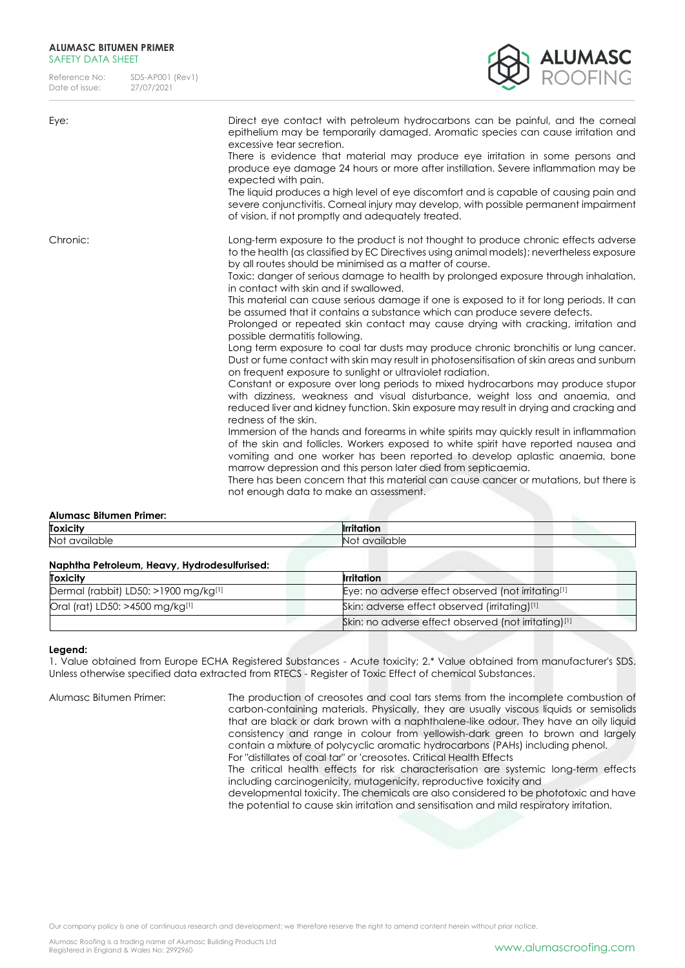### **ALUMASC BITUMEN PRIMER**  SAFFTY DATA SHFFT

Reference No: SDS-AP001 (Rev1)<br>Date of issue: 27/07/2021 Date of issue:



| Eye:     | Direct eye contact with petroleum hydrocarbons can be painful, and the corneal<br>epithelium may be temporarily damaged. Aromatic species can cause irritation and<br>excessive tear secretion.<br>There is evidence that material may produce eye irritation in some persons and<br>produce eye damage 24 hours or more after instillation. Severe inflammation may be<br>expected with pain.<br>The liquid produces a high level of eye discomfort and is capable of causing pain and<br>severe conjunctivitis. Corneal injury may develop, with possible permanent impairment<br>of vision, if not promptly and adequately treated.                                                                                                                                                                                                                                                                                                                                                                                                                                                                                                                                                                                                                                                                                                                                                                                                                                                                                                                                                                                                                                                     |
|----------|--------------------------------------------------------------------------------------------------------------------------------------------------------------------------------------------------------------------------------------------------------------------------------------------------------------------------------------------------------------------------------------------------------------------------------------------------------------------------------------------------------------------------------------------------------------------------------------------------------------------------------------------------------------------------------------------------------------------------------------------------------------------------------------------------------------------------------------------------------------------------------------------------------------------------------------------------------------------------------------------------------------------------------------------------------------------------------------------------------------------------------------------------------------------------------------------------------------------------------------------------------------------------------------------------------------------------------------------------------------------------------------------------------------------------------------------------------------------------------------------------------------------------------------------------------------------------------------------------------------------------------------------------------------------------------------------|
| Chronic: | Long-term exposure to the product is not thought to produce chronic effects adverse<br>to the health (as classified by EC Directives using animal models); nevertheless exposure<br>by all routes should be minimised as a matter of course.<br>Toxic: danger of serious damage to health by prolonged exposure through inhalation,<br>in contact with skin and if swallowed.<br>This material can cause serious damage if one is exposed to it for long periods. It can<br>be assumed that it contains a substance which can produce severe defects.<br>Prolonged or repeated skin contact may cause drying with cracking, irritation and<br>possible dermatitis following.<br>Long term exposure to coal tar dusts may produce chronic bronchitis or lung cancer.<br>Dust or fume contact with skin may result in photosensitisation of skin areas and sunburn<br>on frequent exposure to sunlight or ultraviolet radiation.<br>Constant or exposure over long periods to mixed hydrocarbons may produce stupor<br>with dizziness, weakness and visual disturbance, weight loss and anaemia, and<br>reduced liver and kidney function. Skin exposure may result in drying and cracking and<br>redness of the skin.<br>Immersion of the hands and forearms in white spirits may quickly result in inflammation<br>of the skin and follicles. Workers exposed to white spirit have reported nausea and<br>vomiting and one worker has been reported to develop aplastic anaemia, bone<br>marrow depression and this person later died from septicaemia.<br>There has been concern that this material can cause cancer or mutations, but there is<br>not enough data to make an assessment. |

### **Alumasc Bitumen Primer:**

| Toxicity             | <br>וסוור.                 |
|----------------------|----------------------------|
| Not<br>*ble :<br>анс | $\cdots$<br>available<br>◡ |

| Naphtha Petroleum, Heavy, Hydrodesulfurised: |                                                                |
|----------------------------------------------|----------------------------------------------------------------|
| <b>Toxicity</b>                              | Irritation                                                     |
| Dermal (rabbit) LD50: >1900 mg/kg[1]         | Eye: no adverse effect observed (not irritating <sup>[1]</sup> |
| Oral (rat) LD50: >4500 mg/kg[1]              | Skin: adverse effect observed (irritating)[1]                  |
|                                              | Skin: no adverse effect observed (not irritating)[1]           |

### **Legend:**

1. Value obtained from Europe ECHA Registered Substances - Acute toxicity; 2.\* Value obtained from manufacturer's SDS. Unless otherwise specified data extracted from RTECS - Register of Toxic Effect of chemical Substances.

Alumasc Bitumen Primer: The production of creosotes and coal tars stems from the incomplete combustion of carbon-containing materials. Physically, they are usually viscous liquids or semisolids that are black or dark brown with a naphthalene-like odour. They have an oily liquid consistency and range in colour from yellowish-dark green to brown and largely contain a mixture of polycyclic aromatic hydrocarbons (PAHs) including phenol. For "distillates of coal tar" or 'creosotes. Critical Health Effects

> The critical health effects for risk characterisation are systemic long-term effects including carcinogenicity, mutagenicity, reproductive toxicity and

> developmental toxicity. The chemicals are also considered to be phototoxic and have the potential to cause skin irritation and sensitisation and mild respiratory irritation.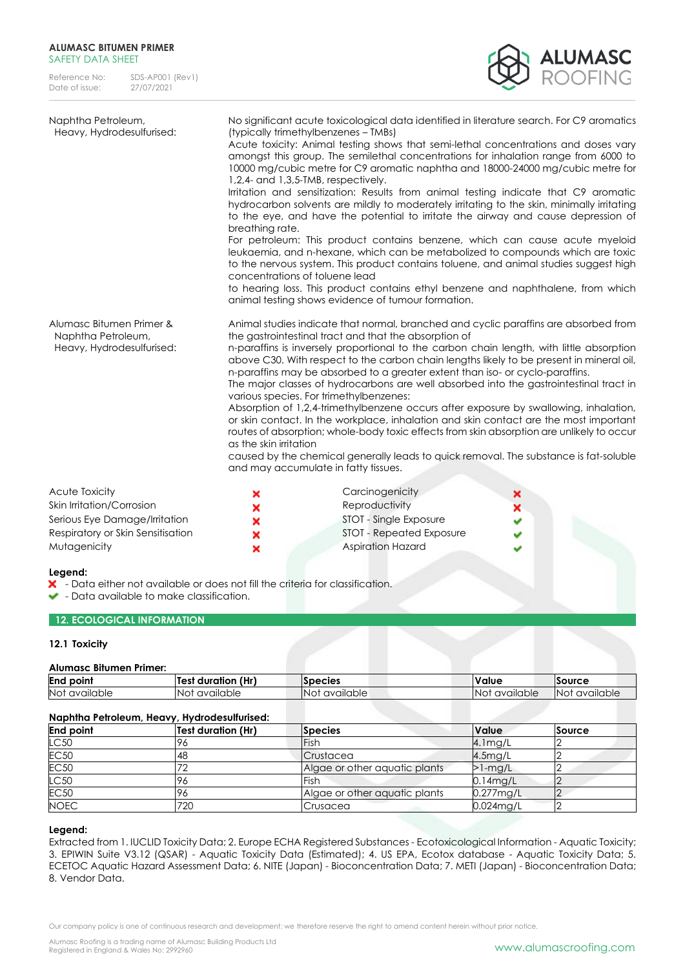### **ALUMASC BITUMEN PRIMER**  SAFFTY DATA SHFFT

Reference No: SDS-AP001 (Rev1)<br>Date of issue: 27/07/2021 Date of issue:



| Naphtha Petroleum,<br>Heavy, Hydrodesulfurised:                             | No significant acute toxicological data identified in literature search. For C9 aromatics<br>(typically trimethylbenzenes – TMBs)<br>Acute toxicity: Animal testing shows that semi-lethal concentrations and doses vary<br>amongst this group. The semilethal concentrations for inhalation range from 6000 to<br>10000 mg/cubic metre for C9 aromatic naphtha and 18000-24000 mg/cubic metre for<br>$1,2,4$ - and $1,3,5$ -TMB, respectively.<br>Irritation and sensitization: Results from animal testing indicate that C9 aromatic<br>hydrocarbon solvents are mildly to moderately irritating to the skin, minimally irritating<br>to the eye, and have the potential to irritate the airway and cause depression of<br>breathing rate.<br>For petroleum: This product contains benzene, which can cause acute myeloid<br>leukaemia, and n-hexane, which can be metabolized to compounds which are toxic<br>to the nervous system. This product contains toluene, and animal studies suggest high<br>concentrations of toluene lead<br>to hearing loss. This product contains ethyl benzene and naphthalene, from which<br>animal testing shows evidence of tumour formation. |
|-----------------------------------------------------------------------------|------------------------------------------------------------------------------------------------------------------------------------------------------------------------------------------------------------------------------------------------------------------------------------------------------------------------------------------------------------------------------------------------------------------------------------------------------------------------------------------------------------------------------------------------------------------------------------------------------------------------------------------------------------------------------------------------------------------------------------------------------------------------------------------------------------------------------------------------------------------------------------------------------------------------------------------------------------------------------------------------------------------------------------------------------------------------------------------------------------------------------------------------------------------------------------|
| Alumasc Bitumen Primer &<br>Naphtha Petroleum,<br>Heavy, Hydrodesulfurised: | Animal studies indicate that normal, branched and cyclic paraffins are absorbed from<br>the gastrointestinal tract and that the absorption of<br>n-paraffins is inversely proportional to the carbon chain length, with little absorption<br>above C30. With respect to the carbon chain lengths likely to be present in mineral oil,<br>n-paraffins may be absorbed to a greater extent than iso- or cyclo-paraffins.<br>The major classes of hydrocarbons are well absorbed into the gastrointestinal tract in<br>various species. For trimethylbenzenes:<br>Absorption of 1,2,4-trimethylbenzene occurs after exposure by swallowing, inhalation,<br>or skin contact. In the workplace, inhalation and skin contact are the most important<br>routes of absorption; whole-body toxic effects from skin absorption are unlikely to occur<br>as the skin irritation<br>caused by the chemical generally leads to quick removal. The substance is fat-soluble<br>and may accumulate in fatty tissues.                                                                                                                                                                              |

| <b>Acute Toxicity</b>             | × | Carcinogenicity          |  |
|-----------------------------------|---|--------------------------|--|
| Skin Irritation/Corrosion         | × | Reproductivity           |  |
| Serious Eye Damage/Irritation     | × | STOT - Single Exposure   |  |
| Respiratory or Skin Sensitisation | × | STOT - Repeated Exposure |  |
| Mutagenicity                      | × | <b>Aspiration Hazard</b> |  |

### **Legend:**

- Data either not available or does not fill the criteria for classification.

- Data available to make classification.

# **12. ECOLOGICAL INFORMATION**

### **12.1 Toxicity**

### **Alumasc Bitumen Primer:**

| End<br>point     | <b>ALLA</b><br>duration<br>Tes:<br>lПГ. | <b>Species</b>      | Value                | Source                     |
|------------------|-----------------------------------------|---------------------|----------------------|----------------------------|
| Not<br>available | available<br>NO1<br>. U.                | <br>available<br>NO | <br>'No<br>available | <br>available<br><b>NO</b> |

# **Naphtha Petroleum, Heavy, Hydrodesulfurised:**

| <u>Rupiniu Felivieviii, Heuvy, Hydiodesviiviised.</u> |                           |                               |              |        |
|-------------------------------------------------------|---------------------------|-------------------------------|--------------|--------|
| <b>End point</b>                                      | <b>Test duration (Hr)</b> | <b>Species</b>                | <b>Value</b> | Source |
| LC50                                                  |                           | Fish                          | $4.1$ mg/L   |        |
| <b>EC50</b>                                           | 48                        | Crustacea                     | 4.5mg/L      |        |
| <b>EC50</b>                                           |                           | Algae or other aguatic plants | $>1$ -mg/L   |        |
| LC50                                                  |                           | Fish                          | $0.14$ mg/L  |        |
| <b>EC50</b>                                           |                           | Algae or other aquatic plants | $0.277$ mg/L |        |
| <b>NOEC</b>                                           | 720                       | Crusacea                      | $0.024$ mg/L |        |

### **Legend:**

Extracted from 1. IUCLID Toxicity Data; 2. Europe ECHA Registered Substances - Ecotoxicological Information - Aquatic Toxicity; 3. EPIWIN Suite V3.12 (QSAR) - Aquatic Toxicity Data (Estimated); 4. US EPA, Ecotox database - Aquatic Toxicity Data; 5. ECETOC Aquatic Hazard Assessment Data; 6. NITE (Japan) - Bioconcentration Data; 7. METI (Japan) - Bioconcentration Data; 8. Vendor Data.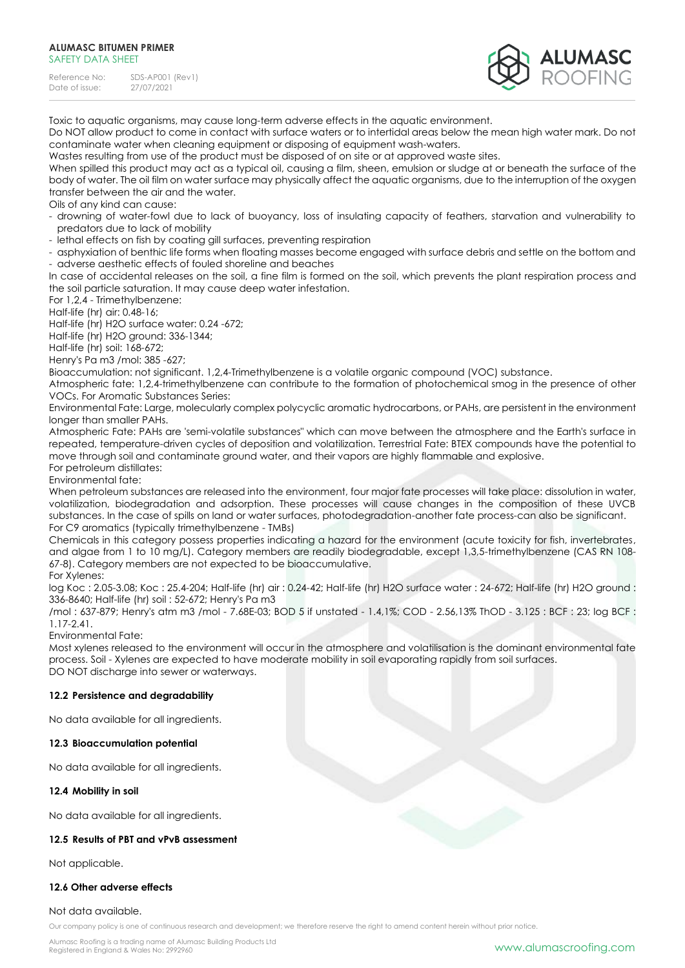#### **ALUMASC BITUMEN PRIMER**  SAFETY DATA SHEET

Reference No: SDS-AP001 (Rev1)<br>Date of issue: 27/07/2021 Date of issue:



Toxic to aquatic organisms, may cause long-term adverse effects in the aquatic environment.

Do NOT allow product to come in contact with surface waters or to intertidal areas below the mean high water mark. Do not contaminate water when cleaning equipment or disposing of equipment wash-waters.

Wastes resulting from use of the product must be disposed of on site or at approved waste sites.

When spilled this product may act as a typical oil, causing a film, sheen, emulsion or sludge at or beneath the surface of the body of water. The oil film on water surface may physically affect the aquatic organisms, due to the interruption of the oxygen transfer between the air and the water.

### Oils of any kind can cause:

- drowning of water-fowl due to lack of buoyancy, loss of insulating capacity of feathers, starvation and vulnerability to predators due to lack of mobility

- lethal effects on fish by coating gill surfaces, preventing respiration

- asphyxiation of benthic life forms when floating masses become engaged with surface debris and settle on the bottom and - adverse aesthetic effects of fouled shoreline and beaches

In case of accidental releases on the soil, a fine film is formed on the soil, which prevents the plant respiration process and the soil particle saturation. It may cause deep water infestation.

For 1,2,4 - Trimethylbenzene:

Half-life (hr) air: 0.48-16;

Half-life (hr) H2O surface water: 0.24 -672;

Half-life (hr) H2O ground: 336-1344;

Half-life (hr) soil: 168-672;

Henry's Pa m3 /mol: 385 -627;

Bioaccumulation: not significant. 1,2,4-Trimethylbenzene is a volatile organic compound (VOC) substance.

Atmospheric fate: 1,2,4-trimethylbenzene can contribute to the formation of photochemical smog in the presence of other VOCs. For Aromatic Substances Series:

Environmental Fate: Large, molecularly complex polycyclic aromatic hydrocarbons, or PAHs, are persistent in the environment longer than smaller PAHs.

Atmospheric Fate: PAHs are 'semi-volatile substances" which can move between the atmosphere and the Earth's surface in repeated, temperature-driven cycles of deposition and volatilization. Terrestrial Fate: BTEX compounds have the potential to move through soil and contaminate ground water, and their vapors are highly flammable and explosive. For petroleum distillates:

Environmental fate:

When petroleum substances are released into the environment, four major fate processes will take place: dissolution in water, volatilization, biodegradation and adsorption. These processes will cause changes in the composition of these UVCB substances. In the case of spills on land or water surfaces, photodegradation-another fate process-can also be significant. For C9 aromatics (typically trimethylbenzene - TMBs)

Chemicals in this category possess properties indicating a hazard for the environment (acute toxicity for fish, invertebrates, and algae from 1 to 10 mg/L). Category members are readily biodegradable, except 1,3,5-trimethylbenzene (CAS RN 108-67-8). Category members are not expected to be bioaccumulative.

For Xylenes:

log Koc : 2.05-3.08; Koc : 25.4-204; Half-life (hr) air : 0.24-42; Half-life (hr) H2O surface water : 24-672; Half-life (hr) H2O ground : 336-8640; Half-life (hr) soil : 52-672; Henry's Pa m3

/mol : 637-879; Henry's atm m3 /mol - 7.68E-03; BOD 5 if unstated - 1.4,1%; COD - 2.56,13% ThOD - 3.125 : BCF : 23; log BCF : 1.17-2.41.

Environmental Fate:

Most xylenes released to the environment will occur in the atmosphere and volatilisation is the dominant environmental fate process. Soil - Xylenes are expected to have moderate mobility in soil evaporating rapidly from soil surfaces. DO NOT discharge into sewer or waterways.

# **12.2 Persistence and degradability**

No data available for all ingredients.

# **12.3 Bioaccumulation potential**

No data available for all ingredients.

### **12.4 Mobility in soil**

No data available for all ingredients.

# **12.5 Results of PBT and vPvB assessment**

Not applicable.

# **12.6 Other adverse effects**

## Not data available.

Our company policy is one of continuous research and development; we therefore reserve the right to amend content herein without prior notice.

Alumasc Roofing is a trading name of Alumasc Building Products Ltd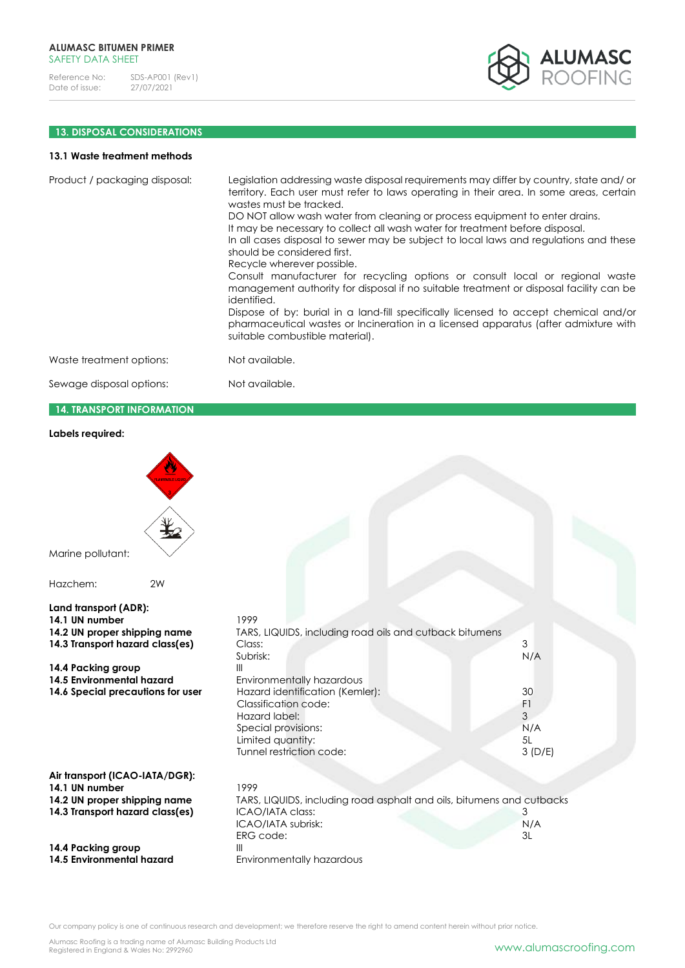

# **13. DISPOSAL CONSIDERATIONS**

# **13.1 Waste treatment methods**

| Product / packaging disposal: | Legislation addressing waste disposal requirements may differ by country, state and/or<br>territory. Each user must refer to laws operating in their area. In some areas, certain<br>wastes must be tracked.<br>DO NOT allow wash water from cleaning or process equipment to enter drains.<br>It may be necessary to collect all wash water for treatment before disposal.<br>In all cases disposal to sewer may be subject to local laws and regulations and these<br>should be considered first.<br>Recycle wherever possible.<br>Consult manufacturer for recycling options or consult local or regional waste<br>management authority for disposal if no suitable treatment or disposal facility can be<br>identified.<br>Dispose of by: burial in a land-fill specifically licensed to accept chemical and/or<br>pharmaceutical wastes or Incineration in a licensed apparatus (after admixture with<br>suitable combustible material). |
|-------------------------------|-----------------------------------------------------------------------------------------------------------------------------------------------------------------------------------------------------------------------------------------------------------------------------------------------------------------------------------------------------------------------------------------------------------------------------------------------------------------------------------------------------------------------------------------------------------------------------------------------------------------------------------------------------------------------------------------------------------------------------------------------------------------------------------------------------------------------------------------------------------------------------------------------------------------------------------------------|
| Waste treatment options:      | Not available.                                                                                                                                                                                                                                                                                                                                                                                                                                                                                                                                                                                                                                                                                                                                                                                                                                                                                                                                |
| Sewage disposal options:      | Not available.                                                                                                                                                                                                                                                                                                                                                                                                                                                                                                                                                                                                                                                                                                                                                                                                                                                                                                                                |

# **14. TRANSPORT INFORMATION**

# **Labels required:**

| Marine pollutant:<br>2W                                                                                                                                                                            |                                                                                                                                                                                                                                                                                          |                                                  |
|----------------------------------------------------------------------------------------------------------------------------------------------------------------------------------------------------|------------------------------------------------------------------------------------------------------------------------------------------------------------------------------------------------------------------------------------------------------------------------------------------|--------------------------------------------------|
| Hazchem:                                                                                                                                                                                           |                                                                                                                                                                                                                                                                                          |                                                  |
| Land transport (ADR):<br>14.1 UN number<br>14.2 UN proper shipping name<br>14.3 Transport hazard class(es)<br>14.4 Packing group<br>14.5 Environmental hazard<br>14.6 Special precautions for user | 1999<br>TARS, LIQUIDS, including road oils and cutback bitumens<br>Class:<br>Subrisk:<br>$\mathbf{III}$<br>Environmentally hazardous<br>Hazard identification (Kemler):<br>Classification code:<br>Hazard label:<br>Special provisions:<br>Limited quantity:<br>Tunnel restriction code: | 3<br>N/A<br>30<br>F1<br>3<br>N/A<br>5L<br>3(D/E) |
| Air transport (ICAO-IATA/DGR):<br>14.1 UN number<br>14.2 UN proper shipping name<br>14.3 Transport hazard class(es)<br>14.4 Packing group<br>14.5 Environmental hazard                             | 1999<br>TARS, LIQUIDS, including road asphalt and oils, bitumens and cutbacks<br>ICAO/IATA class:<br>ICAO/IATA subrisk:<br>ERG code:<br>Ш<br>Environmentally hazardous                                                                                                                   | 3<br>N/A<br>3L                                   |

Our company policy is one of continuous research and development; we therefore reserve the right to amend content herein without prior notice.

Alumasc Roofing is a trading name of Alumasc Building Products Ltd<br>Registered in England & Wales No: 2992960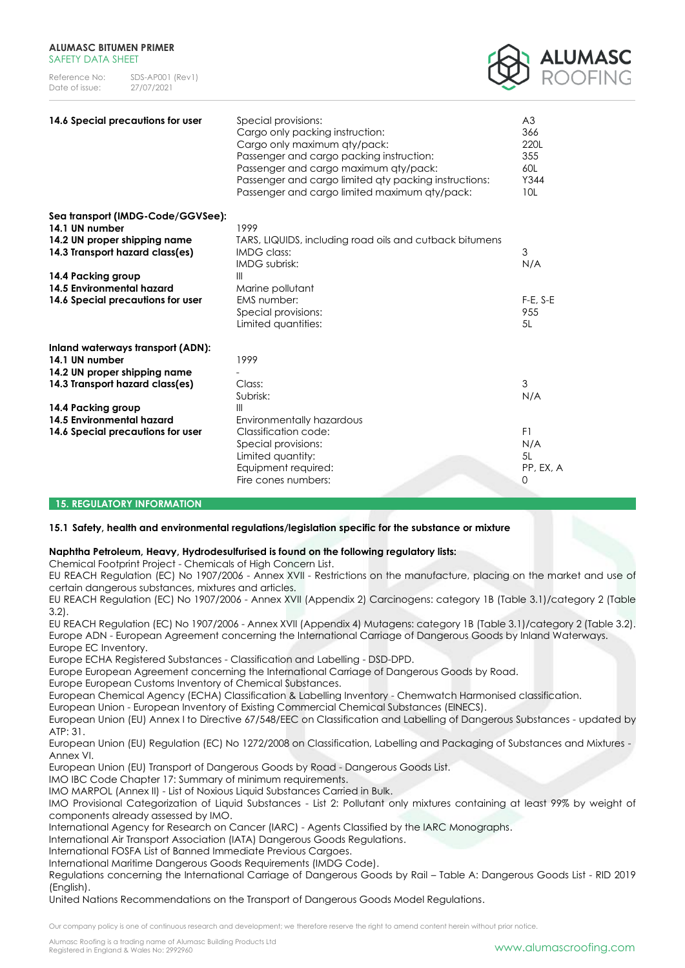| Reference No:  | $SDS-APOO1$ (Rev1) |
|----------------|--------------------|
| Date of issue: | 27/07/2021         |



| 14.6 Special precautions for user                                                                                                                                                                              | Special provisions:<br>Cargo only packing instruction:<br>Cargo only maximum qty/pack:<br>Passenger and cargo packing instruction:<br>Passenger and cargo maximum qty/pack:<br>Passenger and cargo limited aty packing instructions:<br>Passenger and cargo limited maximum qty/pack: | A <sub>3</sub><br>366<br>220L<br>355<br>60L<br>Y344<br>10L |
|----------------------------------------------------------------------------------------------------------------------------------------------------------------------------------------------------------------|---------------------------------------------------------------------------------------------------------------------------------------------------------------------------------------------------------------------------------------------------------------------------------------|------------------------------------------------------------|
| Sea transport (IMDG-Code/GGVSee):<br>14.1 UN number<br>14.2 UN proper shipping name<br>14.3 Transport hazard class(es)<br>14.4 Packing group<br>14.5 Environmental hazard<br>14.6 Special precautions for user | 1999<br>TARS, LIQUIDS, including road oils and cutback bitumens<br><b>IMDG class:</b><br><b>IMDG</b> subrisk:<br>Ш<br>Marine pollutant<br><b>EMS</b> number:<br>Special provisions:<br>Limited quantities:                                                                            | 3<br>N/A<br>$F-E$ , $S-E$<br>955<br>5L                     |
| Inland waterways transport (ADN):<br>14.1 UN number<br>14.2 UN proper shipping name<br>14.3 Transport hazard class(es)<br>14.4 Packing group<br>14.5 Environmental hazard<br>14.6 Special precautions for user | 1999<br>Class:<br>Subrisk:<br>$\mathbb{H}$<br>Environmentally hazardous<br>Classification code:<br>Special provisions:<br>Limited quantity:<br>Equipment required:<br>Fire cones numbers:                                                                                             | 3<br>N/A<br>F1<br>N/A<br>5L<br>PP, EX, A<br>$\mathbf 0$    |

### **15. REGULATORY INFORMATION**

### **15.1 Safety, health and environmental regulations/legislation specific for the substance or mixture**

### **Naphtha Petroleum, Heavy, Hydrodesulfurised is found on the following regulatory lists:**

Chemical Footprint Project - Chemicals of High Concern List.

EU REACH Regulation (EC) No 1907/2006 - Annex XVII - Restrictions on the manufacture, placing on the market and use of certain dangerous substances, mixtures and articles.

EU REACH Regulation (EC) No 1907/2006 - Annex XVII (Appendix 2) Carcinogens: category 1B (Table 3.1)/category 2 (Table 3.2).

EU REACH Regulation (EC) No 1907/2006 - Annex XVII (Appendix 4) Mutagens: category 1B (Table 3.1)/category 2 (Table 3.2). Europe ADN - European Agreement concerning the International Carriage of Dangerous Goods by Inland Waterways. Europe EC Inventory.

Europe ECHA Registered Substances - Classification and Labelling - DSD-DPD.

Europe European Agreement concerning the International Carriage of Dangerous Goods by Road.

Europe European Customs Inventory of Chemical Substances.

European Chemical Agency (ECHA) Classification & Labelling Inventory - Chemwatch Harmonised classification.

European Union - European Inventory of Existing Commercial Chemical Substances (EINECS).

European Union (EU) Annex I to Directive 67/548/EEC on Classification and Labelling of Dangerous Substances - updated by ATP: 31.

European Union (EU) Regulation (EC) No 1272/2008 on Classification, Labelling and Packaging of Substances and Mixtures - Annex VI.

European Union (EU) Transport of Dangerous Goods by Road - Dangerous Goods List.

IMO IBC Code Chapter 17: Summary of minimum requirements.

IMO MARPOL (Annex II) - List of Noxious Liquid Substances Carried in Bulk.

IMO Provisional Categorization of Liquid Substances - List 2: Pollutant only mixtures containing at least 99% by weight of components already assessed by IMO.

International Agency for Research on Cancer (IARC) - Agents Classified by the IARC Monographs.

International Air Transport Association (IATA) Dangerous Goods Regulations.

International FOSFA List of Banned Immediate Previous Cargoes.

International Maritime Dangerous Goods Requirements (IMDG Code).

Regulations concerning the International Carriage of Dangerous Goods by Rail – Table A: Dangerous Goods List - RID 2019 (English).

United Nations Recommendations on the Transport of Dangerous Goods Model Regulations.